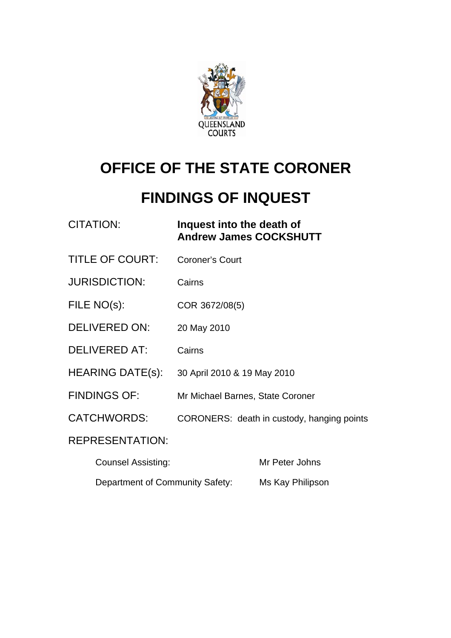

# **OFFICE OF THE STATE CORONER**

## **FINDINGS OF INQUEST**

| <b>CITATION:</b>        | Inquest into the death of<br><b>Andrew James COCKSHUTT</b> |
|-------------------------|------------------------------------------------------------|
| <b>TITLE OF COURT:</b>  | <b>Coroner's Court</b>                                     |
| <b>JURISDICTION:</b>    | Cairns                                                     |
| FILE NO(s):             | COR 3672/08(5)                                             |
| <b>DELIVERED ON:</b>    | 20 May 2010                                                |
| <b>DELIVERED AT:</b>    | Cairns                                                     |
| <b>HEARING DATE(s):</b> | 30 April 2010 & 19 May 2010                                |
| <b>FINDINGS OF:</b>     | Mr Michael Barnes, State Coroner                           |
| CATCHWORDS:             | CORONERS: death in custody, hanging points                 |
| <b>REPRESENTATION:</b>  |                                                            |
|                         |                                                            |

| <b>Counsel Assisting:</b>       | Mr Peter Johns   |
|---------------------------------|------------------|
| Department of Community Safety: | Ms Kay Philipson |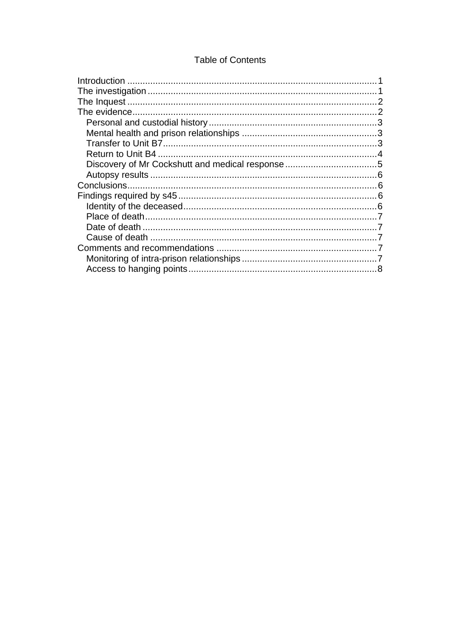## **Table of Contents**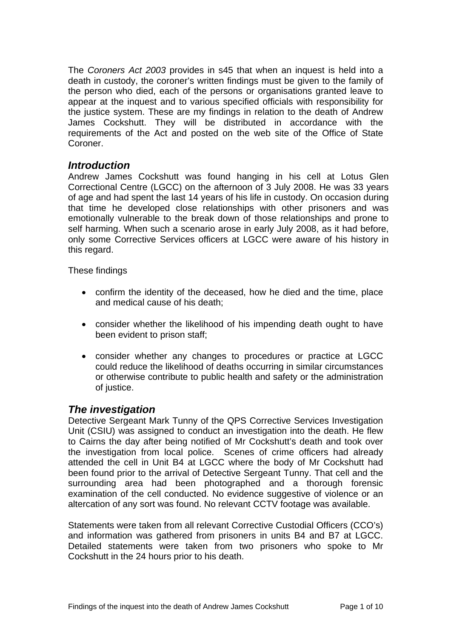<span id="page-2-0"></span>The *Coroners Act 2003* provides in s45 that when an inquest is held into a death in custody, the coroner's written findings must be given to the family of the person who died, each of the persons or organisations granted leave to appear at the inquest and to various specified officials with responsibility for the justice system. These are my findings in relation to the death of Andrew James Cockshutt. They will be distributed in accordance with the requirements of the Act and posted on the web site of the Office of State Coroner.

## *Introduction*

Andrew James Cockshutt was found hanging in his cell at Lotus Glen Correctional Centre (LGCC) on the afternoon of 3 July 2008. He was 33 years of age and had spent the last 14 years of his life in custody. On occasion during that time he developed close relationships with other prisoners and was emotionally vulnerable to the break down of those relationships and prone to self harming. When such a scenario arose in early July 2008, as it had before, only some Corrective Services officers at LGCC were aware of his history in this regard.

These findings

- confirm the identity of the deceased, how he died and the time, place and medical cause of his death;
- consider whether the likelihood of his impending death ought to have been evident to prison staff;
- consider whether any changes to procedures or practice at LGCC could reduce the likelihood of deaths occurring in similar circumstances or otherwise contribute to public health and safety or the administration of justice.

## *The investigation*

Detective Sergeant Mark Tunny of the QPS Corrective Services Investigation Unit (CSIU) was assigned to conduct an investigation into the death. He flew to Cairns the day after being notified of Mr Cockshutt's death and took over the investigation from local police. Scenes of crime officers had already attended the cell in Unit B4 at LGCC where the body of Mr Cockshutt had been found prior to the arrival of Detective Sergeant Tunny. That cell and the surrounding area had been photographed and a thorough forensic examination of the cell conducted. No evidence suggestive of violence or an altercation of any sort was found. No relevant CCTV footage was available.

Statements were taken from all relevant Corrective Custodial Officers (CCO's) and information was gathered from prisoners in units B4 and B7 at LGCC. Detailed statements were taken from two prisoners who spoke to Mr Cockshutt in the 24 hours prior to his death.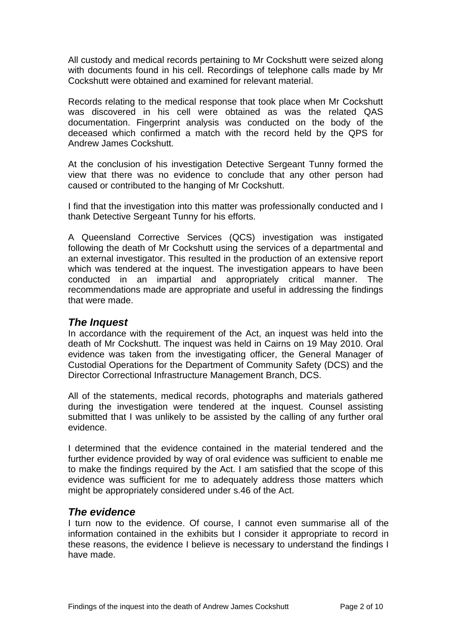<span id="page-3-0"></span>All custody and medical records pertaining to Mr Cockshutt were seized along with documents found in his cell. Recordings of telephone calls made by Mr Cockshutt were obtained and examined for relevant material.

Records relating to the medical response that took place when Mr Cockshutt was discovered in his cell were obtained as was the related QAS documentation. Fingerprint analysis was conducted on the body of the deceased which confirmed a match with the record held by the QPS for Andrew James Cockshutt.

At the conclusion of his investigation Detective Sergeant Tunny formed the view that there was no evidence to conclude that any other person had caused or contributed to the hanging of Mr Cockshutt.

I find that the investigation into this matter was professionally conducted and I thank Detective Sergeant Tunny for his efforts.

A Queensland Corrective Services (QCS) investigation was instigated following the death of Mr Cockshutt using the services of a departmental and an external investigator. This resulted in the production of an extensive report which was tendered at the inquest. The investigation appears to have been conducted in an impartial and appropriately critical manner. The recommendations made are appropriate and useful in addressing the findings that were made.

## *The Inquest*

In accordance with the requirement of the Act, an inquest was held into the death of Mr Cockshutt. The inquest was held in Cairns on 19 May 2010. Oral evidence was taken from the investigating officer, the General Manager of Custodial Operations for the Department of Community Safety (DCS) and the Director Correctional Infrastructure Management Branch, DCS.

All of the statements, medical records, photographs and materials gathered during the investigation were tendered at the inquest. Counsel assisting submitted that I was unlikely to be assisted by the calling of any further oral evidence.

I determined that the evidence contained in the material tendered and the further evidence provided by way of oral evidence was sufficient to enable me to make the findings required by the Act. I am satisfied that the scope of this evidence was sufficient for me to adequately address those matters which might be appropriately considered under s.46 of the Act.

## *The evidence*

I turn now to the evidence. Of course, I cannot even summarise all of the information contained in the exhibits but I consider it appropriate to record in these reasons, the evidence I believe is necessary to understand the findings I have made.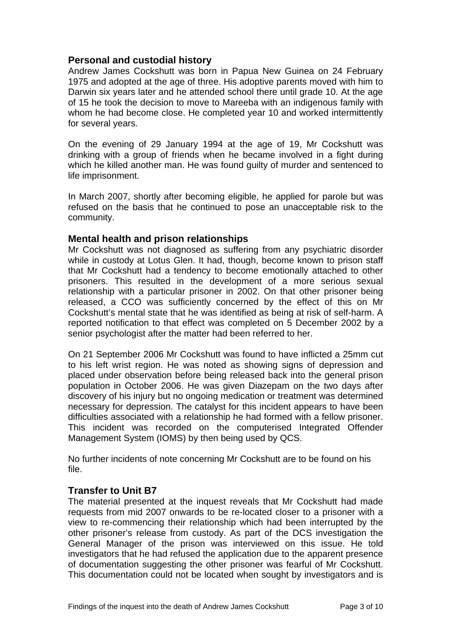### <span id="page-4-0"></span>**Personal and custodial history**

Andrew James Cockshutt was born in Papua New Guinea on 24 February 1975 and adopted at the age of three. His adoptive parents moved with him to Darwin six years later and he attended school there until grade 10. At the age of 15 he took the decision to move to Mareeba with an indigenous family with whom he had become close. He completed year 10 and worked intermittently for several years.

On the evening of 29 January 1994 at the age of 19, Mr Cockshutt was drinking with a group of friends when he became involved in a fight during which he killed another man. He was found quilty of murder and sentenced to life imprisonment.

In March 2007, shortly after becoming eligible, he applied for parole but was refused on the basis that he continued to pose an unacceptable risk to the community.

#### **Mental health and prison relationships**

Mr Cockshutt was not diagnosed as suffering from any psychiatric disorder while in custody at Lotus Glen. It had, though, become known to prison staff that Mr Cockshutt had a tendency to become emotionally attached to other prisoners. This resulted in the development of a more serious sexual relationship with a particular prisoner in 2002. On that other prisoner being released, a CCO was sufficiently concerned by the effect of this on Mr Cockshutt's mental state that he was identified as being at risk of self-harm. A reported notification to that effect was completed on 5 December 2002 by a senior psychologist after the matter had been referred to her.

On 21 September 2006 Mr Cockshutt was found to have inflicted a 25mm cut to his left wrist region. He was noted as showing signs of depression and placed under observation before being released back into the general prison population in October 2006. He was given Diazepam on the two days after discovery of his injury but no ongoing medication or treatment was determined necessary for depression. The catalyst for this incident appears to have been difficulties associated with a relationship he had formed with a fellow prisoner. This incident was recorded on the computerised Integrated Offender Management System (IOMS) by then being used by QCS.

No further incidents of note concerning Mr Cockshutt are to be found on his file.

#### **Transfer to Unit B7**

The material presented at the inquest reveals that Mr Cockshutt had made requests from mid 2007 onwards to be re-located closer to a prisoner with a view to re-commencing their relationship which had been interrupted by the other prisoner's release from custody. As part of the DCS investigation the General Manager of the prison was interviewed on this issue. He told investigators that he had refused the application due to the apparent presence of documentation suggesting the other prisoner was fearful of Mr Cockshutt. This documentation could not be located when sought by investigators and is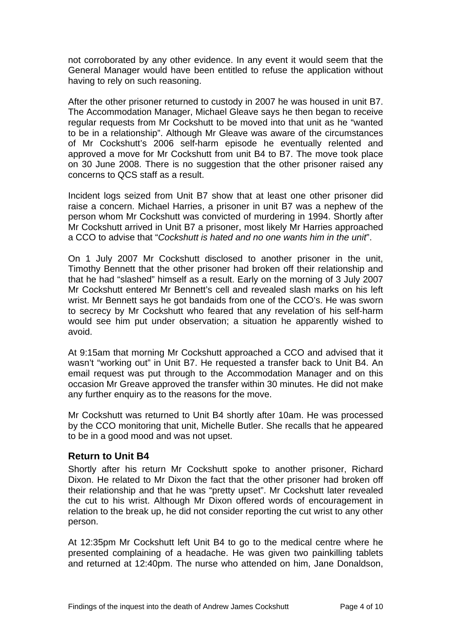<span id="page-5-0"></span>not corroborated by any other evidence. In any event it would seem that the General Manager would have been entitled to refuse the application without having to rely on such reasoning.

After the other prisoner returned to custody in 2007 he was housed in unit B7. The Accommodation Manager, Michael Gleave says he then began to receive regular requests from Mr Cockshutt to be moved into that unit as he "wanted to be in a relationship". Although Mr Gleave was aware of the circumstances of Mr Cockshutt's 2006 self-harm episode he eventually relented and approved a move for Mr Cockshutt from unit B4 to B7. The move took place on 30 June 2008. There is no suggestion that the other prisoner raised any concerns to QCS staff as a result.

Incident logs seized from Unit B7 show that at least one other prisoner did raise a concern. Michael Harries, a prisoner in unit B7 was a nephew of the person whom Mr Cockshutt was convicted of murdering in 1994. Shortly after Mr Cockshutt arrived in Unit B7 a prisoner, most likely Mr Harries approached a CCO to advise that "*Cockshutt is hated and no one wants him in the unit*".

On 1 July 2007 Mr Cockshutt disclosed to another prisoner in the unit, Timothy Bennett that the other prisoner had broken off their relationship and that he had "slashed" himself as a result. Early on the morning of 3 July 2007 Mr Cockshutt entered Mr Bennett's cell and revealed slash marks on his left wrist. Mr Bennett says he got bandaids from one of the CCO's. He was sworn to secrecy by Mr Cockshutt who feared that any revelation of his self-harm would see him put under observation; a situation he apparently wished to avoid.

At 9:15am that morning Mr Cockshutt approached a CCO and advised that it wasn't "working out" in Unit B7. He requested a transfer back to Unit B4. An email request was put through to the Accommodation Manager and on this occasion Mr Greave approved the transfer within 30 minutes. He did not make any further enquiry as to the reasons for the move.

Mr Cockshutt was returned to Unit B4 shortly after 10am. He was processed by the CCO monitoring that unit, Michelle Butler. She recalls that he appeared to be in a good mood and was not upset.

## **Return to Unit B4**

Shortly after his return Mr Cockshutt spoke to another prisoner, Richard Dixon. He related to Mr Dixon the fact that the other prisoner had broken off their relationship and that he was "pretty upset". Mr Cockshutt later revealed the cut to his wrist. Although Mr Dixon offered words of encouragement in relation to the break up, he did not consider reporting the cut wrist to any other person.

At 12:35pm Mr Cockshutt left Unit B4 to go to the medical centre where he presented complaining of a headache. He was given two painkilling tablets and returned at 12:40pm. The nurse who attended on him, Jane Donaldson,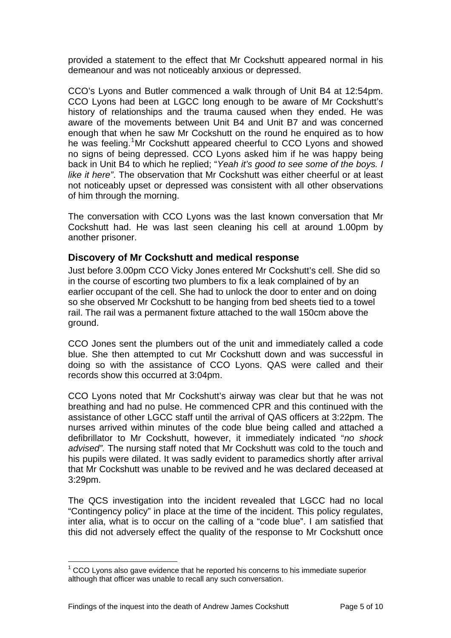<span id="page-6-0"></span>provided a statement to the effect that Mr Cockshutt appeared normal in his demeanour and was not noticeably anxious or depressed.

CCO's Lyons and Butler commenced a walk through of Unit B4 at 12:54pm. CCO Lyons had been at LGCC long enough to be aware of Mr Cockshutt's history of relationships and the trauma caused when they ended. He was aware of the movements between Unit B4 and Unit B7 and was concerned enough that when he saw Mr Cockshutt on the round he enquired as to how he was feeling.<sup>[1](#page-6-1)</sup>Mr Cockshutt appeared cheerful to CCO Lyons and showed no signs of being depressed. CCO Lyons asked him if he was happy being back in Unit B4 to which he replied; "*Yeah it's good to see some of the boys. I like it here"*. The observation that Mr Cockshutt was either cheerful or at least not noticeably upset or depressed was consistent with all other observations of him through the morning.

The conversation with CCO Lyons was the last known conversation that Mr Cockshutt had. He was last seen cleaning his cell at around 1.00pm by another prisoner.

#### **Discovery of Mr Cockshutt and medical response**

Just before 3.00pm CCO Vicky Jones entered Mr Cockshutt's cell. She did so in the course of escorting two plumbers to fix a leak complained of by an earlier occupant of the cell. She had to unlock the door to enter and on doing so she observed Mr Cockshutt to be hanging from bed sheets tied to a towel rail. The rail was a permanent fixture attached to the wall 150cm above the ground.

CCO Jones sent the plumbers out of the unit and immediately called a code blue. She then attempted to cut Mr Cockshutt down and was successful in doing so with the assistance of CCO Lyons. QAS were called and their records show this occurred at 3:04pm.

CCO Lyons noted that Mr Cockshutt's airway was clear but that he was not breathing and had no pulse. He commenced CPR and this continued with the assistance of other LGCC staff until the arrival of QAS officers at 3:22pm. The nurses arrived within minutes of the code blue being called and attached a defibrillator to Mr Cockshutt, however, it immediately indicated "*no shock advised".* The nursing staff noted that Mr Cockshutt was cold to the touch and his pupils were dilated. It was sadly evident to paramedics shortly after arrival that Mr Cockshutt was unable to be revived and he was declared deceased at 3:29pm.

The QCS investigation into the incident revealed that LGCC had no local "Contingency policy" in place at the time of the incident. This policy regulates, inter alia, what is to occur on the calling of a "code blue". I am satisfied that this did not adversely effect the quality of the response to Mr Cockshutt once

l

<span id="page-6-1"></span> $1$  CCO Lyons also gave evidence that he reported his concerns to his immediate superior although that officer was unable to recall any such conversation.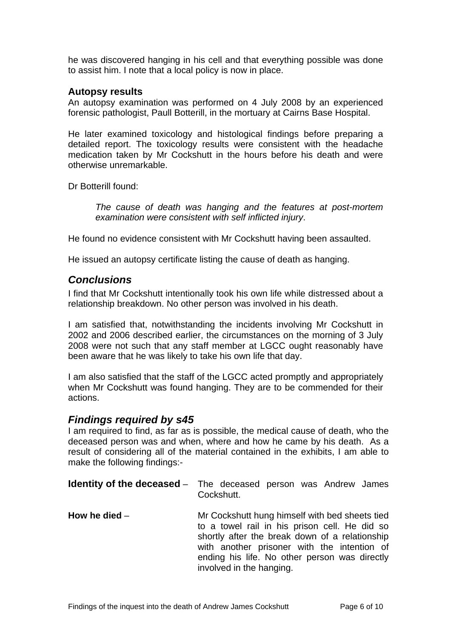<span id="page-7-0"></span>he was discovered hanging in his cell and that everything possible was done to assist him. I note that a local policy is now in place.

#### **Autopsy results**

An autopsy examination was performed on 4 July 2008 by an experienced forensic pathologist, Paull Botterill, in the mortuary at Cairns Base Hospital.

He later examined toxicology and histological findings before preparing a detailed report. The toxicology results were consistent with the headache medication taken by Mr Cockshutt in the hours before his death and were otherwise unremarkable.

Dr Botterill found:

*The cause of death was hanging and the features at post-mortem examination were consistent with self inflicted injury*.

He found no evidence consistent with Mr Cockshutt having been assaulted.

He issued an autopsy certificate listing the cause of death as hanging.

#### *Conclusions*

I find that Mr Cockshutt intentionally took his own life while distressed about a relationship breakdown. No other person was involved in his death.

I am satisfied that, notwithstanding the incidents involving Mr Cockshutt in 2002 and 2006 described earlier, the circumstances on the morning of 3 July 2008 were not such that any staff member at LGCC ought reasonably have been aware that he was likely to take his own life that day.

I am also satisfied that the staff of the LGCC acted promptly and appropriately when Mr Cockshutt was found hanging. They are to be commended for their actions.

#### *Findings required by s45*

I am required to find, as far as is possible, the medical cause of death, who the deceased person was and when, where and how he came by his death. As a result of considering all of the material contained in the exhibits, I am able to make the following findings:-

|                 | <b>Identity of the deceased</b> – The deceased person was Andrew James<br>Cockshutt.                                                                                                                                                                                          |
|-----------------|-------------------------------------------------------------------------------------------------------------------------------------------------------------------------------------------------------------------------------------------------------------------------------|
| How he died $-$ | Mr Cockshutt hung himself with bed sheets tied<br>to a towel rail in his prison cell. He did so<br>shortly after the break down of a relationship<br>with another prisoner with the intention of<br>ending his life. No other person was directly<br>involved in the hanging. |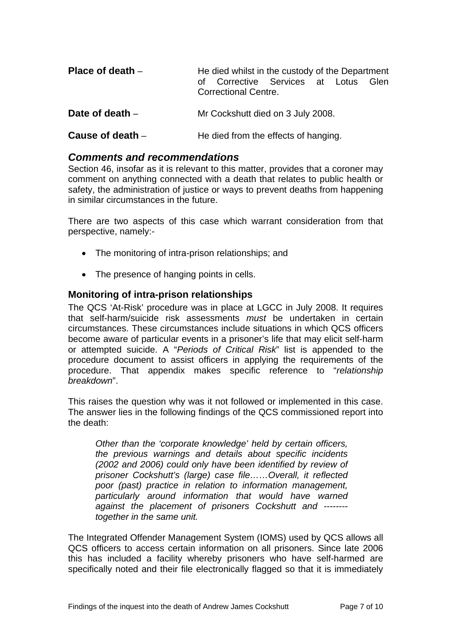<span id="page-8-0"></span>

| Place of death $-$ | He died whilst in the custody of the Department<br>of Corrective Services at Lotus<br>Glen<br><b>Correctional Centre.</b> |
|--------------------|---------------------------------------------------------------------------------------------------------------------------|
| Date of death $-$  | Mr Cockshutt died on 3 July 2008.                                                                                         |
| Cause of death $-$ | He died from the effects of hanging.                                                                                      |

#### *Comments and recommendations*

Section 46, insofar as it is relevant to this matter, provides that a coroner may comment on anything connected with a death that relates to public health or safety, the administration of justice or ways to prevent deaths from happening in similar circumstances in the future.

There are two aspects of this case which warrant consideration from that perspective, namely:-

- The monitoring of intra-prison relationships; and
- The presence of hanging points in cells.

#### **Monitoring of intra-prison relationships**

The QCS 'At-Risk' procedure was in place at LGCC in July 2008. It requires that self-harm/suicide risk assessments *must* be undertaken in certain circumstances. These circumstances include situations in which QCS officers become aware of particular events in a prisoner's life that may elicit self-harm or attempted suicide. A "*Periods of Critical Risk*" list is appended to the procedure document to assist officers in applying the requirements of the procedure. That appendix makes specific reference to "*relationship breakdown*".

This raises the question why was it not followed or implemented in this case. The answer lies in the following findings of the QCS commissioned report into the death:

*Other than the 'corporate knowledge' held by certain officers, the previous warnings and details about specific incidents (2002 and 2006) could only have been identified by review of prisoner Cockshutt's (large) case file……Overall, it reflected poor (past) practice in relation to information management, particularly around information that would have warned against the placement of prisoners Cockshutt and ------- together in the same unit.* 

The Integrated Offender Management System (IOMS) used by QCS allows all QCS officers to access certain information on all prisoners. Since late 2006 this has included a facility whereby prisoners who have self-harmed are specifically noted and their file electronically flagged so that it is immediately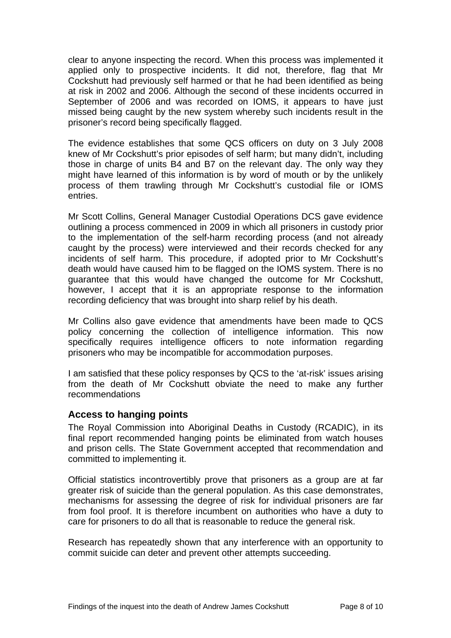<span id="page-9-0"></span>clear to anyone inspecting the record. When this process was implemented it applied only to prospective incidents. It did not, therefore, flag that Mr Cockshutt had previously self harmed or that he had been identified as being at risk in 2002 and 2006. Although the second of these incidents occurred in September of 2006 and was recorded on IOMS, it appears to have just missed being caught by the new system whereby such incidents result in the prisoner's record being specifically flagged.

The evidence establishes that some QCS officers on duty on 3 July 2008 knew of Mr Cockshutt's prior episodes of self harm; but many didn't, including those in charge of units B4 and B7 on the relevant day. The only way they might have learned of this information is by word of mouth or by the unlikely process of them trawling through Mr Cockshutt's custodial file or IOMS entries.

Mr Scott Collins, General Manager Custodial Operations DCS gave evidence outlining a process commenced in 2009 in which all prisoners in custody prior to the implementation of the self-harm recording process (and not already caught by the process) were interviewed and their records checked for any incidents of self harm. This procedure, if adopted prior to Mr Cockshutt's death would have caused him to be flagged on the IOMS system. There is no guarantee that this would have changed the outcome for Mr Cockshutt, however, I accept that it is an appropriate response to the information recording deficiency that was brought into sharp relief by his death.

Mr Collins also gave evidence that amendments have been made to QCS policy concerning the collection of intelligence information. This now specifically requires intelligence officers to note information regarding prisoners who may be incompatible for accommodation purposes.

I am satisfied that these policy responses by QCS to the 'at-risk' issues arising from the death of Mr Cockshutt obviate the need to make any further recommendations

#### **Access to hanging points**

The Royal Commission into Aboriginal Deaths in Custody (RCADIC), in its final report recommended hanging points be eliminated from watch houses and prison cells. The State Government accepted that recommendation and committed to implementing it.

Official statistics incontrovertibly prove that prisoners as a group are at far greater risk of suicide than the general population. As this case demonstrates, mechanisms for assessing the degree of risk for individual prisoners are far from fool proof. It is therefore incumbent on authorities who have a duty to care for prisoners to do all that is reasonable to reduce the general risk.

Research has repeatedly shown that any interference with an opportunity to commit suicide can deter and prevent other attempts succeeding.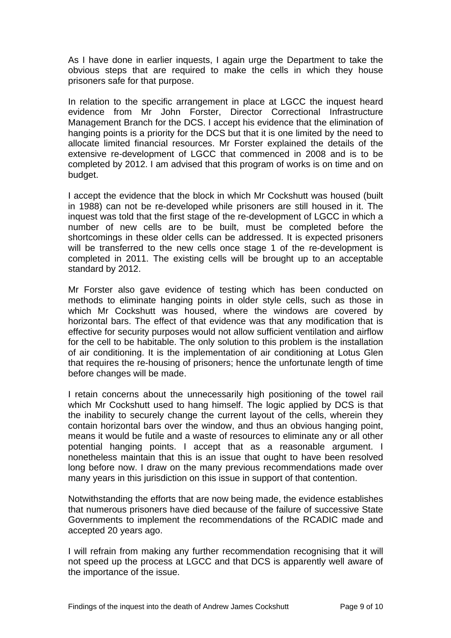As I have done in earlier inquests, I again urge the Department to take the obvious steps that are required to make the cells in which they house prisoners safe for that purpose.

In relation to the specific arrangement in place at LGCC the inquest heard evidence from Mr John Forster, Director Correctional Infrastructure Management Branch for the DCS. I accept his evidence that the elimination of hanging points is a priority for the DCS but that it is one limited by the need to allocate limited financial resources. Mr Forster explained the details of the extensive re-development of LGCC that commenced in 2008 and is to be completed by 2012. I am advised that this program of works is on time and on budget.

I accept the evidence that the block in which Mr Cockshutt was housed (built in 1988) can not be re-developed while prisoners are still housed in it. The inquest was told that the first stage of the re-development of LGCC in which a number of new cells are to be built, must be completed before the shortcomings in these older cells can be addressed. It is expected prisoners will be transferred to the new cells once stage 1 of the re-development is completed in 2011. The existing cells will be brought up to an acceptable standard by 2012.

Mr Forster also gave evidence of testing which has been conducted on methods to eliminate hanging points in older style cells, such as those in which Mr Cockshutt was housed, where the windows are covered by horizontal bars. The effect of that evidence was that any modification that is effective for security purposes would not allow sufficient ventilation and airflow for the cell to be habitable. The only solution to this problem is the installation of air conditioning. It is the implementation of air conditioning at Lotus Glen that requires the re-housing of prisoners; hence the unfortunate length of time before changes will be made.

I retain concerns about the unnecessarily high positioning of the towel rail which Mr Cockshutt used to hang himself. The logic applied by DCS is that the inability to securely change the current layout of the cells, wherein they contain horizontal bars over the window, and thus an obvious hanging point, means it would be futile and a waste of resources to eliminate any or all other potential hanging points. I accept that as a reasonable argument. I nonetheless maintain that this is an issue that ought to have been resolved long before now. I draw on the many previous recommendations made over many years in this jurisdiction on this issue in support of that contention.

Notwithstanding the efforts that are now being made, the evidence establishes that numerous prisoners have died because of the failure of successive State Governments to implement the recommendations of the RCADIC made and accepted 20 years ago.

I will refrain from making any further recommendation recognising that it will not speed up the process at LGCC and that DCS is apparently well aware of the importance of the issue.